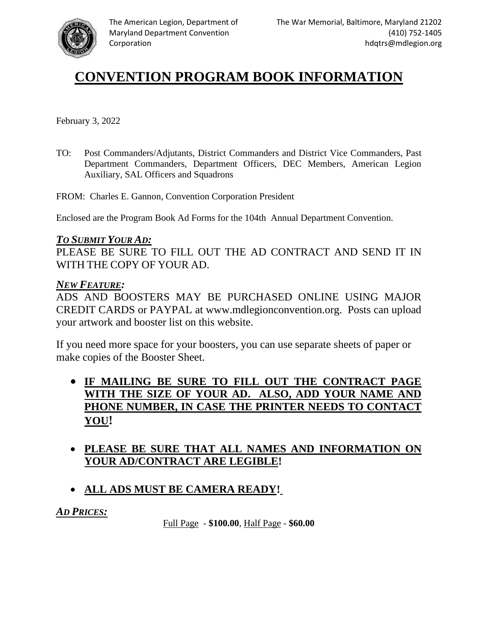

# **CONVENTION PROGRAM BOOK INFORMATION**

February 3, 2022

TO: Post Commanders/Adjutants, District Commanders and District Vice Commanders, Past Department Commanders, Department Officers, DEC Members, American Legion Auxiliary, SAL Officers and Squadrons

FROM: Charles E. Gannon, Convention Corporation President

Enclosed are the Program Book Ad Forms for the 104th Annual Department Convention.

## *TO SUBMIT YOUR AD:*

PLEASE BE SURE TO FILL OUT THE AD CONTRACT AND SEND IT IN WITH THE COPY OF YOUR AD.

## *NEW FEATURE:*

ADS AND BOOSTERS MAY BE PURCHASED ONLINE USING MAJOR CREDIT CARDS or PAYPAL at www.mdlegionconvention.org. Posts can upload your artwork and booster list on this website.

If you need more space for your boosters, you can use separate sheets of paper or make copies of the Booster Sheet.

- **IF MAILING BE SURE TO FILL OUT THE CONTRACT PAGE WITH THE SIZE OF YOUR AD. ALSO, ADD YOUR NAME AND PHONE NUMBER, IN CASE THE PRINTER NEEDS TO CONTACT YOU!**
- **PLEASE BE SURE THAT ALL NAMES AND INFORMATION ON YOUR AD/CONTRACT ARE LEGIBLE!**
- **ALL ADS MUST BE CAMERA READY!**

*AD PRICES:*

Full Page - **\$100.00**, Half Page - **\$60.00**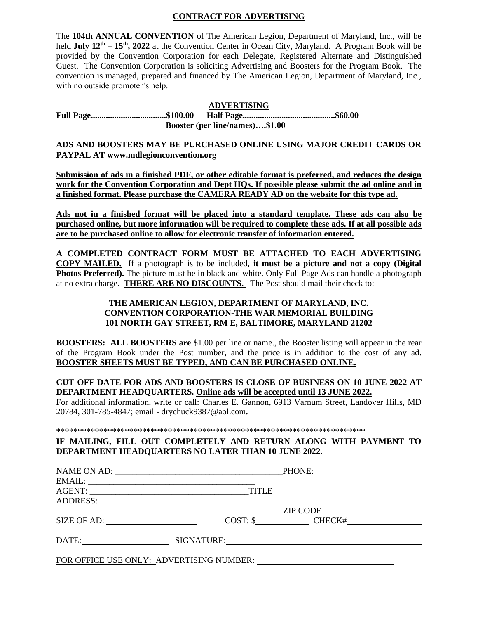#### **CONTRACT FOR ADVERTISING**

The **104th ANNUAL CONVENTION** of The American Legion, Department of Maryland, Inc., will be held **July 12<sup>th</sup> – 15<sup>th</sup>, 2022** at the Convention Center in Ocean City, Maryland. A Program Book will be provided by the Convention Corporation for each Delegate, Registered Alternate and Distinguished Guest. The Convention Corporation is soliciting Advertising and Boosters for the Program Book. The convention is managed, prepared and financed by The American Legion, Department of Maryland, Inc., with no outside promoter's help.

### **ADVERTISING**

**Full Page...................................\$100.00 Half Page...........................................\$60.00 Booster (per line/names)….\$1.00**

**ADS AND BOOSTERS MAY BE PURCHASED ONLINE USING MAJOR CREDIT CARDS OR PAYPAL AT www.mdlegionconvention.org** 

**Submission of ads in a finished PDF, or other editable format is preferred, and reduces the design work for the Convention Corporation and Dept HQs. If possible please submit the ad online and in a finished format. Please purchase the CAMERA READY AD on the website for this type ad.**

**Ads not in a finished format will be placed into a standard template. These ads can also be purchased online, but more information will be required to complete these ads. If at all possible ads are to be purchased online to allow for electronic transfer of information entered.**

**A COMPLETED CONTRACT FORM MUST BE ATTACHED TO EACH ADVERTISING COPY MAILED.** If a photograph is to be included, **it must be a picture and not a copy (Digital Photos Preferred).** The picture must be in black and white. Only Full Page Ads can handle a photograph at no extra charge. **THERE ARE NO DISCOUNTS.** The Post should mail their check to:

#### **THE AMERICAN LEGION, DEPARTMENT OF MARYLAND, INC. CONVENTION CORPORATION-THE WAR MEMORIAL BUILDING 101 NORTH GAY STREET, RM E, BALTIMORE, MARYLAND 21202**

**BOOSTERS: ALL BOOSTERS are** \$1.00 per line or name., the Booster listing will appear in the rear of the Program Book under the Post number, and the price is in addition to the cost of any ad. **BOOSTER SHEETS MUST BE TYPED, AND CAN BE PURCHASED ONLINE.**

**CUT-OFF DATE FOR ADS AND BOOSTERS IS CLOSE OF BUSINESS ON 10 JUNE 2022 AT DEPARTMENT HEADQUARTERS. Online ads will be accepted until 13 JUNE 2022.**

For additional information, write or call: Charles E. Gannon, 6913 Varnum Street, Landover Hills, MD 20784, 301-785-4847; email - drychuck9387@aol.com**.**

\*\*\*\*\*\*\*\*\*\*\*\*\*\*\*\*\*\*\*\*\*\*\*\*\*\*\*\*\*\*\*\*\*\*\*\*\*\*\*\*\*\*\*\*\*\*\*\*\*\*\*\*\*\*\*\*\*\*\*\*\*\*\*\*\*\*\*\*\*\*\*\*

#### **IF MAILING, FILL OUT COMPLETELY AND RETURN ALONG WITH PAYMENT TO DEPARTMENT HEADQUARTERS NO LATER THAN 10 JUNE 2022.**

|                     |              | PHONE: PHONE                                  |  |
|---------------------|--------------|-----------------------------------------------|--|
|                     |              |                                               |  |
|                     | <b>TITLE</b> | <u> 1980 - Andrea Andrew Maria (h. 1980).</u> |  |
| ADDRESS:            |              |                                               |  |
|                     |              | $ZIP$ CODE                                    |  |
| SIZE OF AD:         |              | COST: \$ CHECK#                               |  |
| DATE:<br>SIGNATURE: |              |                                               |  |
|                     |              | FOR OFFICE USE ONLY: ADVERTISING NUMBER:      |  |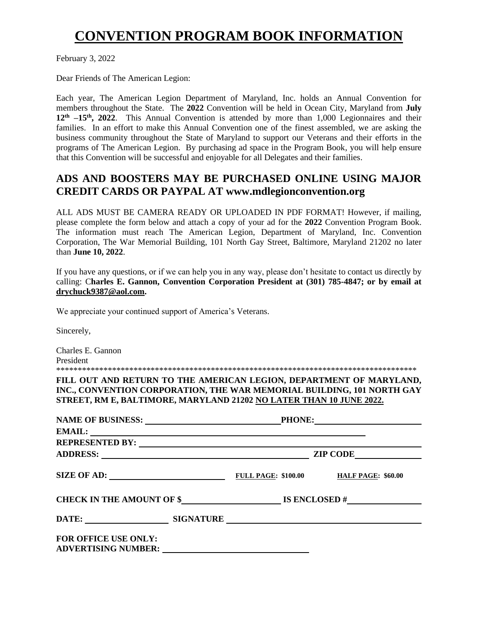# **CONVENTION PROGRAM BOOK INFORMATION**

February 3, 2022

Dear Friends of The American Legion:

Each year, The American Legion Department of Maryland, Inc. holds an Annual Convention for members throughout the State. The **2022** Convention will be held in Ocean City, Maryland from **July**  12<sup>th</sup> –15<sup>th</sup>, 2022. This Annual Convention is attended by more than 1,000 Legionnaires and their families. In an effort to make this Annual Convention one of the finest assembled, we are asking the business community throughout the State of Maryland to support our Veterans and their efforts in the programs of The American Legion. By purchasing ad space in the Program Book, you will help ensure that this Convention will be successful and enjoyable for all Delegates and their families.

# **ADS AND BOOSTERS MAY BE PURCHASED ONLINE USING MAJOR CREDIT CARDS OR PAYPAL AT www.mdlegionconvention.org**

ALL ADS MUST BE CAMERA READY OR UPLOADED IN PDF FORMAT! However, if mailing, please complete the form below and attach a copy of your ad for the **2022** Convention Program Book. The information must reach The American Legion, Department of Maryland, Inc. Convention Corporation, The War Memorial Building, 101 North Gay Street, Baltimore, Maryland 21202 no later than **June 10, 2022**.

If you have any questions, or if we can help you in any way, please don't hesitate to contact us directly by calling: C**harles E. Gannon, Convention Corporation President at (301) 785-4847; or by email at drychuck9387@aol.com.**

We appreciate your continued support of America's Veterans.

Sincerely,

Charles E. Gannon President

\*\*\*\*\*\*\*\*\*\*\*\*\*\*\*\*\*\*\*\*\*\*\*\*\*\*\*\*\*\*\*\*\*\*\*\*\*\*\*\*\*\*\*\*\*\*\*\*\*\*\*\*\*\*\*\*\*\*\*\*\*\*\*\*\*\*\*\*\*\*\*\*\*\*\*\*\*\*\*\*\*\*\*\*

**FILL OUT AND RETURN TO THE AMERICAN LEGION, DEPARTMENT OF MARYLAND, INC., CONVENTION CORPORATION, THE WAR MEMORIAL BUILDING, 101 NORTH GAY STREET, RM E, BALTIMORE, MARYLAND 21202 NO LATER THAN 10 JUNE 2022.**

| ADDRESS: North Contract of the Contract of the Contract of the Contract of the Contract of the Contract of the Contract of the Contract of the Contract of the Contract of the Contract of the Contract of the Contract of the | ZIP CODE                                           |  |
|--------------------------------------------------------------------------------------------------------------------------------------------------------------------------------------------------------------------------------|----------------------------------------------------|--|
| SIZE OF AD:                                                                                                                                                                                                                    | <b>FULL PAGE: \$100.00 HALF PAGE: \$60.00</b>      |  |
|                                                                                                                                                                                                                                | CHECK IN THE AMOUNT OF $\frac{1}{2}$ IS ENCLOSED # |  |
|                                                                                                                                                                                                                                | DATE: SIGNATURE                                    |  |
| <b>FOR OFFICE USE ONLY:</b>                                                                                                                                                                                                    |                                                    |  |